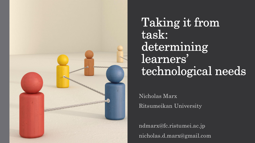

Taking it from task: determining learners' technological needs

Nicholas Marx Ritsumeikan University

ndmarx@fc.ristumei.ac.jp nicholas.d.marx@gmail.com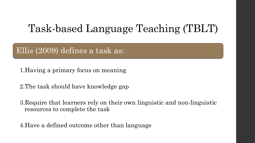# Task-based Language Teaching (TBLT)

Ellis (2009) defines a task as:

1.Having a primary focus on meaning

2.The task should have knowledge gap

3.Require that learners rely on their own linguistic and non-linguistic resources to complete the task

4.Have a defined outcome other than language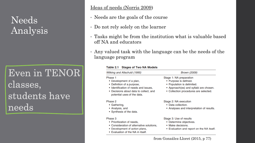## Needs Analysis

Even in TENOR classes, students have needs

Ideas of needs (Norris 2009)

- Needs are the goals of the course
- Do not rely solely on the learner
- Tasks might be from the institution what is valuable based off NA and educators
- Any valued task with the language can be the needs of the language program

#### Table 2.1 Stages of Two NA Models

| Witking and Altschuld (1995)                                                                                                                                                        | <b>Brown (2009)</b>                                                                                                                                               |
|-------------------------------------------------------------------------------------------------------------------------------------------------------------------------------------|-------------------------------------------------------------------------------------------------------------------------------------------------------------------|
| Phase 1<br>• Development of a plan,<br>• Definition of a purpose,<br>• Identification of needs and issues,<br>• Decisions about data to collect, and<br>potential uses of the data. | Stage 1: NA preparation<br>• Purpose is defined.<br>• Population is delimited.<br>• Approach(es) and syllabi are chosen.<br>• Collection procedures are selected. |
| Phase 2<br>• Gathering,<br>• Analysis, and<br>• Synthesis of the data.                                                                                                              | Stage 2: NA execution<br>• Data collection.<br>• Analyses and interpretation of results.                                                                          |
| Phase 3<br>• Prioritization of needs,<br>• Consideration of alternative solutions,<br>• Development of action plans,<br>• Evaluation of the NA in itself.                           | Stage 3: Use of results<br>• Determine objectives.<br>• Make decisions.<br>• Evaluation and report on the NA itself.                                              |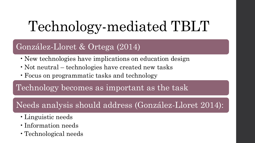# Technology-mediated TBLT

#### González-Lloret & Ortega (2014)

- New technologies have implications on education design
- Not neutral technologies have created new tasks
- •Focus on programmatic tasks and technology

Technology becomes as important as the task

#### Needs analysis should address (González-Lloret 2014):

- •Linguistic needs
- •Information needs
- •Technological needs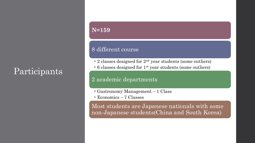### Participants

#### **N=159**

#### 8 different course

- 2 classes designed for 2<sup>nd</sup> year students (some outliers)
- 6 classes designed for 1st year students (some outliers)

#### 2 academic departments

- Gastronomy Management 1 Class
- Economics 7 Classes

Most students are Japanese nationals with some non-Japanese students(China and South Korea)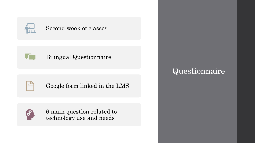

#### Second week of classes



#### Bilingual Questionnaire

Google form linked in the LMS



6 main question related to technology use and needs

#### Questionnaire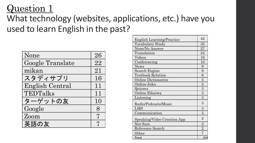### What technology (websites, applications, etc.) have you used to learn English in the past?

| None             | 26 |
|------------------|----|
| Google Translate | 22 |
| mikan            | 21 |
| スタディサプリ          | 16 |
| English Central  | 11 |
| TEDTalks         | 11 |
| ターゲットの友          | 10 |
| Google           | 8  |
| Zoom             | 7  |
| 英語の友             | 7  |

| <b>English Learning/Practice</b> | 42             |
|----------------------------------|----------------|
| Vocabulary Study                 | 35             |
| None/No Answer                   | 27             |
| Translation                      | 24             |
| Videos                           | 16             |
| Conferencing                     | 10             |
| <b>News</b>                      | 9              |
| Search Engine                    | 8              |
| <b>Textbook Relation</b>         | 6              |
| <b>Online Dictionaries</b>       | 5              |
| Online Juku                      | $\overline{5}$ |
| Quizzes                          | 3              |
| Online Eikaiwa                   | 3              |
| Listening                        | 3              |
| Radio/Podcasts/Music             | 3              |
| LMS                              | 3              |
| Communication                    | 3              |
| Speaking/Video Creation App      | $\overline{2}$ |
| Not Sure                         | $\overline{2}$ |
| Reference Search                 | $\overline{2}$ |
| Other                            | 7              |
| Total                            | 218            |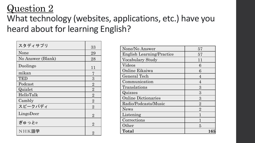### What technology (websites, applications, etc.) have you heard about for learning English?

| スタディサプリ           | 33             |
|-------------------|----------------|
| None              | 29             |
| No Answer (Blank) | 28             |
| Duolingo          | 11             |
| mikan             | 7              |
| TED               | 3              |
| Podcast           | $\overline{2}$ |
| Quizlet           | $\overline{2}$ |
| HelloTalk         | $\overline{2}$ |
| Cambly            | $\overline{2}$ |
| スピークバディ           | $\overline{2}$ |
| LingoDeer         | $\overline{2}$ |
| ぎゅっとe             | $\overline{2}$ |
| NHK語学             | $\overline{2}$ |

| None/No Answer                   | 57             |
|----------------------------------|----------------|
| <b>English Learning/Practice</b> | 57             |
| Vocabulary Study                 | 11             |
| Videos                           | 6              |
| Online Eikaiwa                   | 6              |
| General Tech                     | 4              |
| Communication                    | 4              |
| Translations                     | 3              |
| Quizzes                          | 3              |
| <b>Online Dictionaries</b>       | 3              |
| Radio/Podcasts/Music             | $\overline{2}$ |
| <b>News</b>                      | $\overline{2}$ |
| Listening                        | 1              |
| Corrections                      |                |
| Other                            | 5              |
| Total                            | ${\bf 165}$    |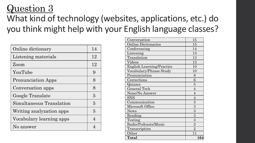### What kind of technology (websites, applications, etc.) do you think might help with your English language classes?

| Online dictionary         | 14             |
|---------------------------|----------------|
| Listening materials       | 12             |
| Zoom                      | 12             |
| YouTube                   | 9              |
| <b>Pronunciation Apps</b> | 8              |
| Conversation apps         | 8              |
| Google Translate          | 5              |
| Simultaneous Translation  | $\overline{5}$ |
| Writing analyzation apps  | $\overline{5}$ |
| Vocabulary learning apps  | $\overline{4}$ |
| No answer                 |                |

| Conversation                     | 15             |
|----------------------------------|----------------|
| <b>Online Dictionaries</b>       | 15             |
| Conferencing                     | 14             |
| Listening                        | 13             |
| Translation                      | 13             |
| Videos                           | 13             |
| <b>English Learning/Practice</b> | 10             |
| Vocabulary/Phrase Study          | 10             |
| Pronunciation                    | 8              |
| Corrections                      | 6              |
| Quizzes                          | 5              |
| <b>General Tech</b>              | $\overline{4}$ |
| None/No Answer                   | $\overline{4}$ |
| SNS                              | $\overline{4}$ |
| Communication                    | 3              |
| Microsoft Office                 | $\overline{3}$ |
| <b>News</b>                      | 3              |
| Reading                          | 3              |
| Testing                          | 3              |
| Radio/Podcasts/Music             | $\overline{2}$ |
| Transcription                    | $\overline{2}$ |
| Other                            | 11             |
| Total                            | 164            |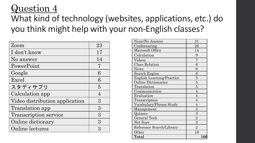### What kind of technology (websites, applications, etc.) do you think might help with your non-English classes?

| Zoom                           | 23             |
|--------------------------------|----------------|
| I don't know                   | 17             |
| No answer                      | 14             |
| PowerPoint                     | 7              |
| Google                         | 6              |
| Excel                          | 6              |
| スタディサプリ                        | $\overline{5}$ |
| Calculation app                | 4              |
| Video distribution application | 3              |
| <b>Translation app</b>         | 3              |
| <b>Transcription service</b>   | 3              |
| Online dictionary              | 3              |
| Online lectures                | $\Omega$       |

| None/No Answer                   | 31             |
|----------------------------------|----------------|
| Conferencing                     | 26             |
| Microsoft Office                 | 14             |
| Calculation                      | 9              |
| Videos                           | 7              |
| <b>Class Relation</b>            | 6              |
| <b>News</b>                      | 6              |
| Search Engine                    | 6              |
| <b>English Learning/Practice</b> | 5              |
| <b>Online Dictionaries</b>       | $\overline{5}$ |
| Translation                      | $\overline{5}$ |
| Communication                    | $\overline{4}$ |
| Evaluation                       | $\overline{4}$ |
| Transcription                    | $\overline{4}$ |
| Vocabulary/Phrase Study          | $\overline{4}$ |
| Management                       | $\overline{3}$ |
| Quizzes                          | $\overline{3}$ |
| General Tech                     | $\overline{2}$ |
| Not Sure                         | $\overline{2}$ |
| Reference Search/Library         | $\overline{2}$ |
| Other                            | 18             |
| <b>Total</b>                     | 166            |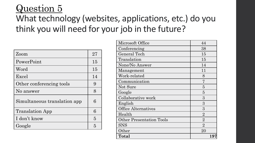### What technology (websites, applications, etc.) do you think you will need for your job in the future?

| Zoom                         | 27              |
|------------------------------|-----------------|
| PowerPoint                   | 15              |
| Word                         | 15              |
| Excel                        | 14              |
| Other conferencing tools     | 9               |
| No answer                    | $8\overline{)}$ |
| Simultaneous translation app | 6               |
| <b>Translation App</b>       | 6               |
| I don't know                 | 5               |
| Google                       | 5               |

| Microsoft Office                | 44             |
|---------------------------------|----------------|
| Conferencing                    | 38             |
| General Tech                    | 15             |
| Translation                     | 15             |
| None/No Answer                  | 14             |
| Management                      | 11             |
| Work-related                    | 8              |
| Communication                   |                |
| Not Sure                        | 5              |
| Google                          | 5              |
| Collaborative work              | 3              |
| English                         | 3              |
| <b>Office Alternatives</b>      | 3              |
| Health                          | $\overline{2}$ |
| <b>Other Presentation Tools</b> | $\overline{2}$ |
| <b>SNS</b>                      | $\overline{2}$ |
| Other                           | 20             |
| Total                           | 197            |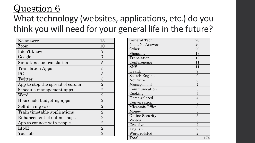### What technology (websites, applications, etc.) do you think you will need for your general life in the future?

| No answer                        | 13             |
|----------------------------------|----------------|
| Zoom                             | 10             |
| I don't know                     | 7              |
| Google                           | 7              |
| Simultaneous translation         | 5              |
| <b>Translation Apps</b>          | 5              |
| <b>PC</b>                        | 3              |
| Twitter                          | 3              |
| App to stop the spread of corona | $\overline{2}$ |
| Schedule management apps         | $\overline{2}$ |
| $\operatorname{Word}$            | $\overline{2}$ |
| Household budgeting apps         | $\overline{2}$ |
| Self-driving cars                | $\overline{2}$ |
| Train timetable applications     | $\overline{2}$ |
| Enhancement of online shops      | $\overline{2}$ |
| App to connect with people       | $\overline{2}$ |
| LINE                             | $\overline{2}$ |
| YouTube                          | $\overline{2}$ |

| General Tech           | 20             |
|------------------------|----------------|
| None/No Answer         | 20             |
| Other                  | 20             |
| Shopping               | 13             |
| Translation            | 12             |
| Conferencing           | 11             |
| <b>SNS</b>             | 11             |
| Health                 | 9              |
| Search Engine          | 9              |
| Not Sure               | 8              |
| Management             | $\overline{7}$ |
| Communication          | $\overline{5}$ |
| Cooking                | $\overline{4}$ |
| Home-related           | $\overline{4}$ |
| Conversation           | 3              |
| Microsoft Office       | 3              |
| Money                  | 3              |
| <b>Online Security</b> | 3              |
| Videos                 | $\overline{3}$ |
| Creative               | $\overline{2}$ |
| English                | $\overline{2}$ |
| Work-related           | $\overline{2}$ |
| Total                  | 174            |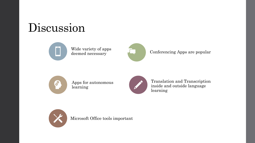# Discussion





#### Conferencing Apps are popular



Apps for autonomous learning



Translation and Transcription inside and outside language learning



Microsoft Office tools important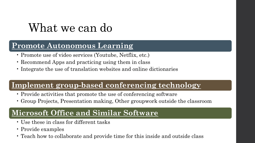# What we can do

#### **Promote Autonomous Learning**

- Promote use of video services (Youtube, Netflix, etc.)
- Recommend Apps and practicing using them in class
- Integrate the use of translation websites and online dictionaries

#### **Implement group-based conferencing technology**

- Provide activities that promote the use of conferencing software
- Group Projects, Presentation making, Other groupwork outside the classroom

#### **Microsoft Office and Similar Software**

- Use these in class for different tasks
- Provide examples
- Teach how to collaborate and provide time for this inside and outside class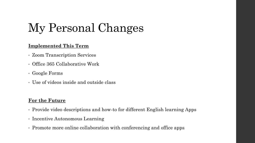# My Personal Changes

#### **Implemented This Term**

- Zoom Transcription Services
- Office 365 Collaborative Work
- Google Forms
- Use of videos inside and outside class

#### **For the Future**

- Provide video descriptions and how-to for different English learning Apps
- Incentive Autonomous Learning
- Promote more online collaboration with conferencing and office apps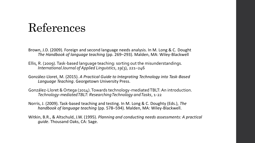# References

- Brown, J.D. (2009). Foreign and second language needs analysis. In M. Long & C. Dought *The Handbook of language teaching* (pp. 269–293). Malden, MA: Wiley-Blackwell
- Ellis, R. (2009). Task-based language teaching: sorting out the misunderstandings. *International Journal of Applied Linguistics*, *19*(3), 221–246
- González-Lloret, M. (2015). *A Practical Guide to Integrating Technology into Task-Based Language Teaching*. Georgetown University Press.
- González-Lloret & Ortega (2014). Towards technology-mediated TBLT: An introduction. *Technology-mediated TBLT: Researching Technology and Tasks*, 1-22
- Norris, J. (2009). Task-based teaching and testing. In M. Long & C. Doughty (Eds.), *The handbook of language teaching* (pp. 578–594). Malden, MA: Wiley-Blackwell.
- Witkin, B.R., & Altschuld, J.W. (1995). *Planning and conducting needs assessments: A practical guide*. Thousand Oaks, CA: Sage.